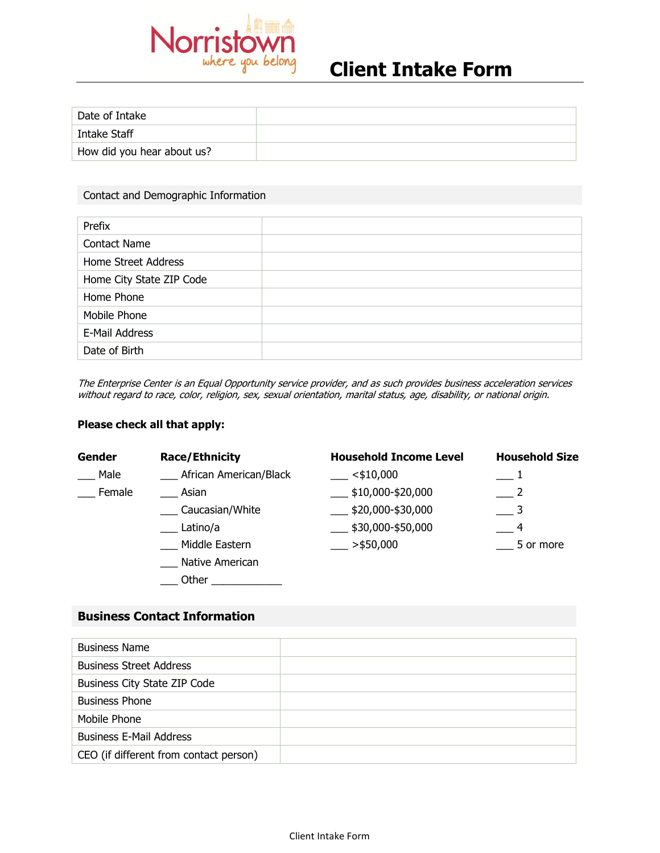

# **Client Intake Form**

| Date of Intake             |  |
|----------------------------|--|
| Intake Staff               |  |
| How did you hear about us? |  |

#### Contact and Demographic Information

| Prefix                   |  |
|--------------------------|--|
| <b>Contact Name</b>      |  |
| Home Street Address      |  |
| Home City State ZIP Code |  |
| Home Phone               |  |
| Mobile Phone             |  |
| E-Mail Address           |  |
| Date of Birth            |  |

The Enterprise Center is an Equal Opportunity service provider, and as such provides business acceleration services without regard to race, color, religion, sex, sexual orientation, marital status, age, disability, or national origin.

#### **Please check all that apply:**

| <b>Gender</b> | <b>Race/Ethnicity</b>  | <b>Household Income Level</b>   | <b>Household Size</b> |
|---------------|------------------------|---------------------------------|-----------------------|
| Male          | African American/Black | $<$ \$10,000                    |                       |
| Female        | Asian                  | $\frac{1}{2}$ \$10,000-\$20,000 |                       |
|               | Caucasian/White        | \$20,000-\$30,000               |                       |
|               | Latino/a               | $\frac{1}{2}$ \$30,000-\$50,000 | 4                     |
|               | Middle Eastern         | $>$ \$50,000                    | 5 or more             |
|               | Native American        |                                 |                       |
|               | Other                  |                                 |                       |

#### **Business Contact Information**

| <b>Business Name</b>                   |  |
|----------------------------------------|--|
| <b>Business Street Address</b>         |  |
| Business City State ZIP Code           |  |
| <b>Business Phone</b>                  |  |
| Mobile Phone                           |  |
| <b>Business E-Mail Address</b>         |  |
| CEO (if different from contact person) |  |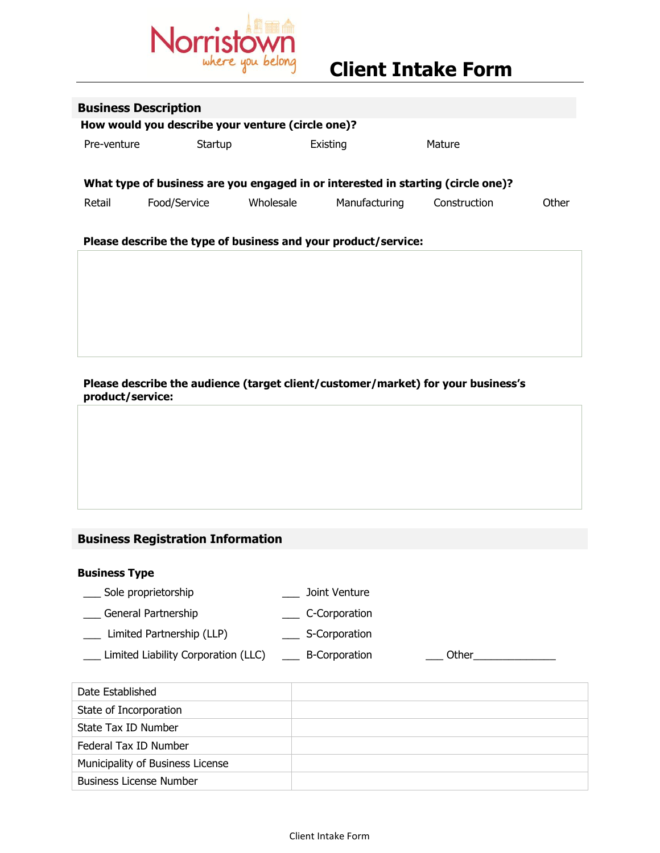

| <b>Business Description</b>                       |                                                                |           |               |                                                                                  |       |
|---------------------------------------------------|----------------------------------------------------------------|-----------|---------------|----------------------------------------------------------------------------------|-------|
| How would you describe your venture (circle one)? |                                                                |           |               |                                                                                  |       |
| Pre-venture                                       | Startup                                                        |           | Existing      | Mature                                                                           |       |
|                                                   |                                                                |           |               | What type of business are you engaged in or interested in starting (circle one)? |       |
| Retail                                            | Food/Service                                                   | Wholesale | Manufacturing | Construction                                                                     | Other |
|                                                   | Please describe the type of business and your product/service: |           |               |                                                                                  |       |

**Please describe the audience (target client/customer/market) for your business's product/service:**

## **Business Registration Information**

#### **Business Type**

- \_\_\_ Sole proprietorship \_\_\_ Joint Venture
- \_\_\_ General Partnership \_\_\_ C-Corporation
- \_\_\_ Limited Partnership (LLP) \_\_\_ S-Corporation
- \_\_\_ Limited Liability Corporation (LLC) \_\_\_ B-Corporation \_\_\_ Other\_\_\_\_\_\_\_\_\_\_\_\_\_\_
- 

| Date Established                 |  |
|----------------------------------|--|
| State of Incorporation           |  |
| State Tax ID Number              |  |
| Federal Tax ID Number            |  |
| Municipality of Business License |  |
| <b>Business License Number</b>   |  |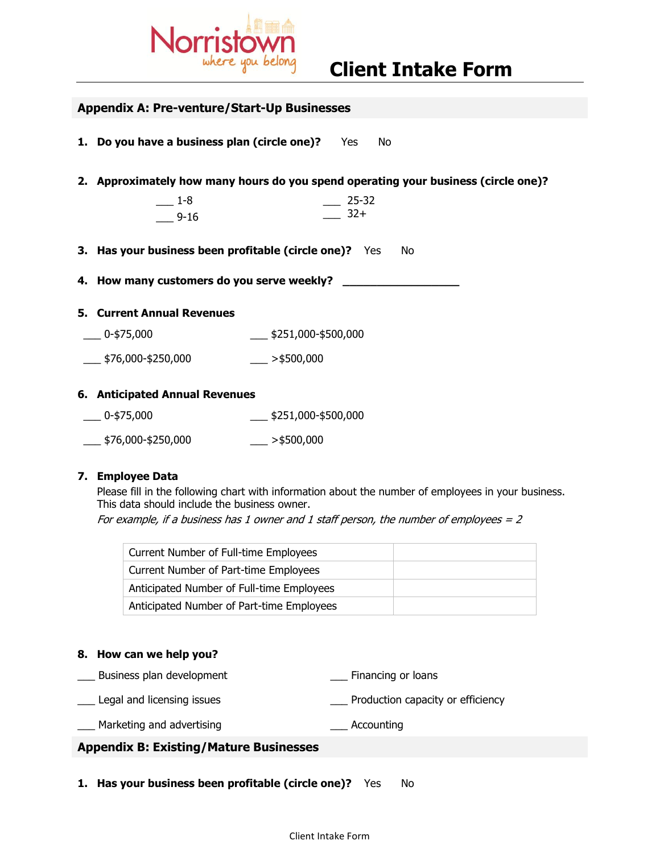

| <b>Appendix A: Pre-venture/Start-Up Businesses</b> |                                                              |                                                                                    |  |
|----------------------------------------------------|--------------------------------------------------------------|------------------------------------------------------------------------------------|--|
|                                                    | 1. Do you have a business plan (circle one)? Yes<br>No       |                                                                                    |  |
|                                                    |                                                              | 2. Approximately how many hours do you spend operating your business (circle one)? |  |
|                                                    | $-1-8$<br>$-9-16$                                            | $-25-32$<br>$32+$                                                                  |  |
|                                                    | 3. Has your business been profitable (circle one)? Yes<br>No |                                                                                    |  |
|                                                    | 4. How many customers do you serve weekly? __                |                                                                                    |  |
|                                                    | <b>5. Current Annual Revenues</b>                            |                                                                                    |  |
|                                                    | $-0.475,000$                                                 | $\frac{\text{I}}{\text{I}}$ \$251,000-\$500,000                                    |  |
|                                                    | $\frac{1}{2}$ \$76,000-\$250,000 > $\frac{1}{2}$ >\$500,000  |                                                                                    |  |
|                                                    | 6. Anticipated Annual Revenues                               |                                                                                    |  |
|                                                    | $-0.575,000$                                                 | $\frac{\text{I}}{\text{I}}$ \$251,000-\$500,000                                    |  |

# \_\_\_ \$76,000-\$250,000 \_\_\_ >\$500,000

#### **7. Employee Data**

Please fill in the following chart with information about the number of employees in your business. This data should include the business owner. For example, if a business has 1 owner and 1 staff person, the number of employees  $= 2$ 

| Current Number of Full-time Employees     |  |
|-------------------------------------------|--|
| Current Number of Part-time Employees     |  |
| Anticipated Number of Full-time Employees |  |
| Anticipated Number of Part-time Employees |  |

#### **8. How can we help you?**

- Business plan development **Example 2** Financing or loans
- Legal and licensing issues **Exercise 20** Production capacity or efficiency

\_\_\_ Marketing and advertising \_\_\_ Accounting

#### **Appendix B: Existing/Mature Businesses**

**1. Has your business been profitable (circle one)?** Yes No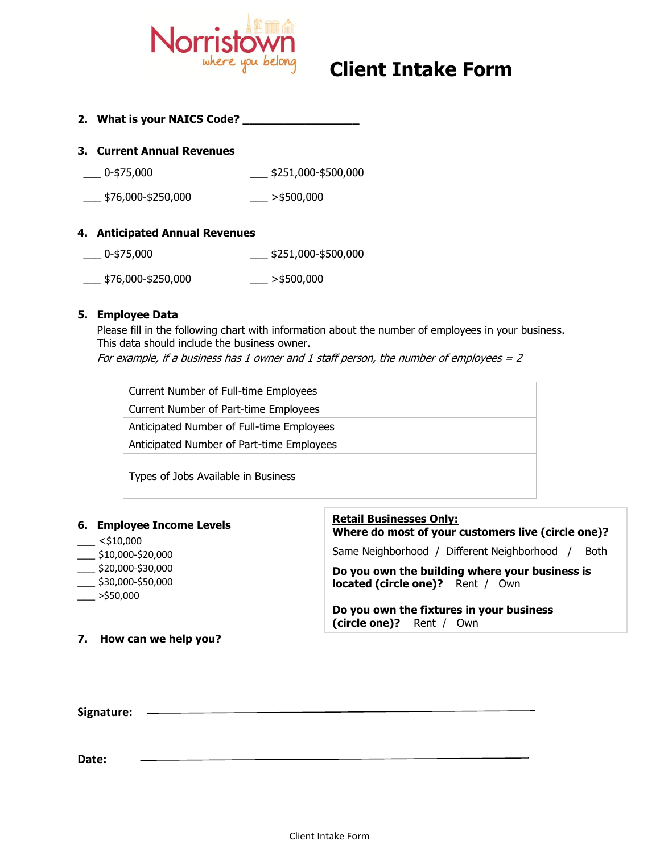

## **Client Intake Form**

### **2. What is your NAICS Code? \_\_\_\_\_\_\_\_\_\_\_\_\_\_\_\_\_**

#### **3. Current Annual Revenues**

- \_\_\_ 0-\$75,000 \_\_\_ \$251,000-\$500,000
- $\frac{1}{2}$ \$76,000-\$250,000  $\frac{1}{2}$  >\$500,000

#### **4. Anticipated Annual Revenues**

- \_\_\_ 0-\$75,000 \_\_\_ \$251,000-\$500,000
- $\frac{1}{2}$ \$76,000-\$250,000  $\frac{1}{2}$  >\$500,000

#### **5. Employee Data**

Please fill in the following chart with information about the number of employees in your business. This data should include the business owner.

For example, if a business has 1 owner and 1 staff person, the number of employees  $= 2$ 

| Current Number of Full-time Employees     |  |
|-------------------------------------------|--|
| Current Number of Part-time Employees     |  |
| Anticipated Number of Full-time Employees |  |
| Anticipated Number of Part-time Employees |  |
| Types of Jobs Available in Business       |  |

| 6. Employee Income Levels<br>$<$ \$10,000                                            | <b>Retail Businesses Only:</b><br>Where do most of your customers live (circle one)?      |  |
|--------------------------------------------------------------------------------------|-------------------------------------------------------------------------------------------|--|
| $\frac{\$10,000-\$20,000}{}$                                                         | Same Neighborhood / Different Neighborhood /<br><b>Both</b>                               |  |
| $\frac{1}{2}$ \$20,000-\$30,000<br>$\frac{\pi}{2}$ \$30,000-\$50,000<br>$>$ \$50,000 | Do you own the building where your business is<br><b>located (circle one)?</b> Rent / Own |  |
|                                                                                      | Do you own the fixtures in your business<br>(circle one)? Rent / Own                      |  |
| 7. How can we help you?                                                              |                                                                                           |  |

<u> 1980 - Johann Barnett, fransk politik (</u> Signature: **<u>with the set of the set of the set of the set of the set of the set of the set of the set of the set of the set of the set of the set of the set of the set of the set of the set of the set of the set of the se**</u>

**Date:**